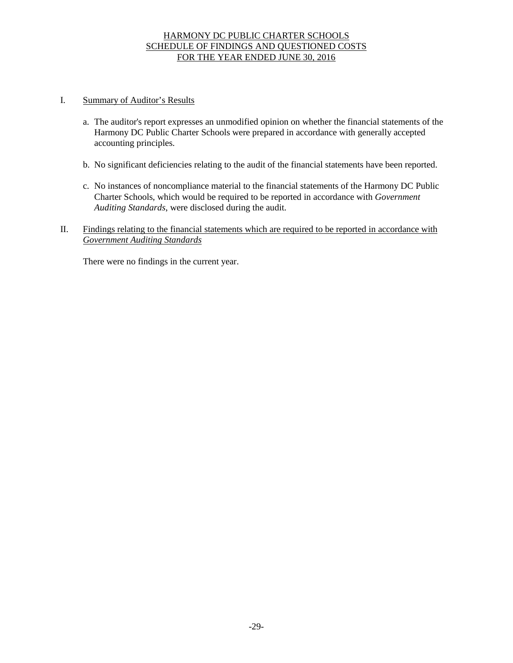HARMONY DC PUBLIC CHARTER SCHOOLS

WASHINGTON, D.C.

COMPARATIVE FINANCIAL STATEMENTS AND INDEPENDENT AUDITOR'S REPORT

--------------------------------------------

FOR THE YEARS ENDED JUNE 30, 2016 AND 2015

### **KENDALL, PREBOLA AND JONES**

Certified Public Accountants PO BOX 259 BEDFORD, PENNSYLVANIA 15522-0259 (814) 623-1880 FAX (814) 623-7548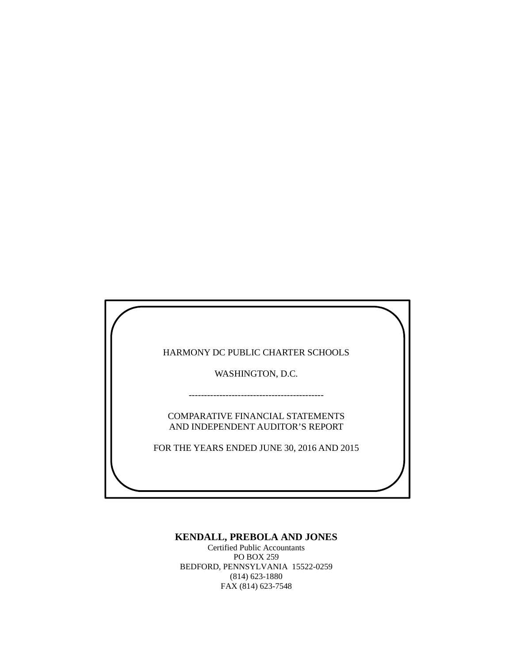# I N D E X

|                                                                                                                                                                                                                          | Page           |
|--------------------------------------------------------------------------------------------------------------------------------------------------------------------------------------------------------------------------|----------------|
| <b>Independent Auditor's Report</b>                                                                                                                                                                                      | $1-2$          |
| Comparative Statements of Financial Position,<br>June 30, 2016 and 2015                                                                                                                                                  | 3              |
| Comparative Statements of Activities, For the Years Ended<br>June 30, 2016 and 2015                                                                                                                                      | $\overline{4}$ |
| Comparative Statements of Cash Flows, For the Years Ended<br>June 30, 2016 and 2015                                                                                                                                      | 5              |
| <b>Notes to Financial Statements</b>                                                                                                                                                                                     | $6 - 22$       |
| Supplemental Information                                                                                                                                                                                                 |                |
| Schedule 1 - Comparative Schedules of Functional Expenses,<br>For the Years Ended June 30, 2016 and 2015                                                                                                                 | $23 - 24$      |
| Schedule 2 - Comparative Schedules of Average Cost Per Student,<br>For the Years Ended June 30, 2016 and 2015                                                                                                            | 25             |
| Independent Auditor's Report on Internal Control over Financial Reporting and<br>on Compliance and Other Matters Based on an Audit of Financial Statements<br>Performed in Accordance with Government Auditing Standards | $26 - 27$      |
| Summary Schedule of Prior Audit Findings, For the Year Ended June 30, 2016                                                                                                                                               | 28             |
| Schedule of Findings, For the Year Ended June 30, 2016                                                                                                                                                                   | 29             |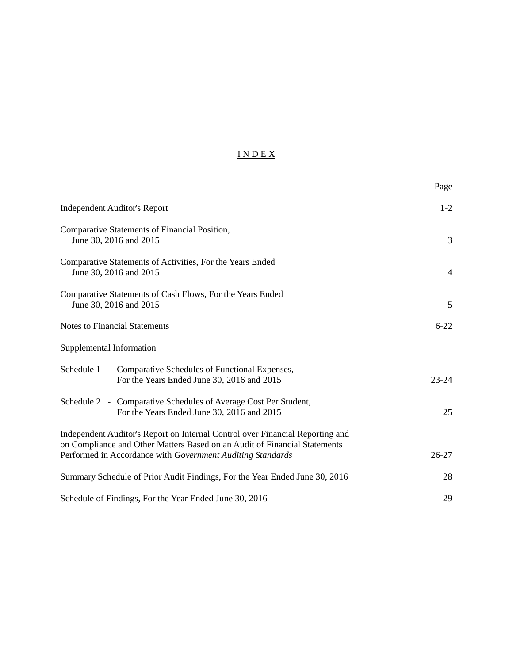Board of Directors Harmony DC Public Charter Schools 62 T Street, NE Washington, DC 20002

#### INDEPENDENT AUDITOR'S REPORT

#### *Report on the Financial Statements*

We have audited the accompanying financial statements of the Harmony DC Public Charter Schools, (a nonprofit organization) which comprise the statements of financial position as of June 30, 2016 and 2015, and the related statements of activities and cash flows for the years then ended, and the related notes to the financial statements.

#### *Management's Responsibility for the Financial Statements*

Management is responsible for the preparation and fair presentation of these financial statements in accordance with accounting principles generally accepted in the United States of America; this includes the design, implementation, and maintenance of internal control relevant to the preparation and fair presentation of financial statements that are free from material misstatement, whether due to fraud or error.

#### *Auditor's Responsibility*

Our responsibility is to express an opinion on these financial statements based on our audits. We conducted our audits in accordance with auditing standards generally accepted in the United States of America and the standards applicable to financial audits contained in *Government Auditing Standards*, issued by the Comptroller General of the United States. Those standards require that we plan and perform the audit to obtain reasonable assurance about whether the financial statements are free from material misstatement.

An audit involves performing procedures to obtain audit evidence about the amounts and disclosures in the financial statements. The procedures selected depend on the auditor's judgment, including the assessment of the risks of material misstatement of the financial statements, whether due to fraud or error. In making those risk assessments, the auditor considers internal control relevant to the entity's preparation and fair presentation of the financial statements in order to design audit procedures that are appropriate in the circumstances, but not for the purpose of expressing an opinion on the effectiveness of the entity's internal control. Accordingly, we express no such opinion. An audit also includes evaluating the appropriateness of accounting policies used and the reasonableness of significant accounting estimates made by management, as well as evaluating the overall presentation of the financial statements.

We believe that the audit evidence we have obtained is sufficient and appropriate to provide a basis for our audit opinion.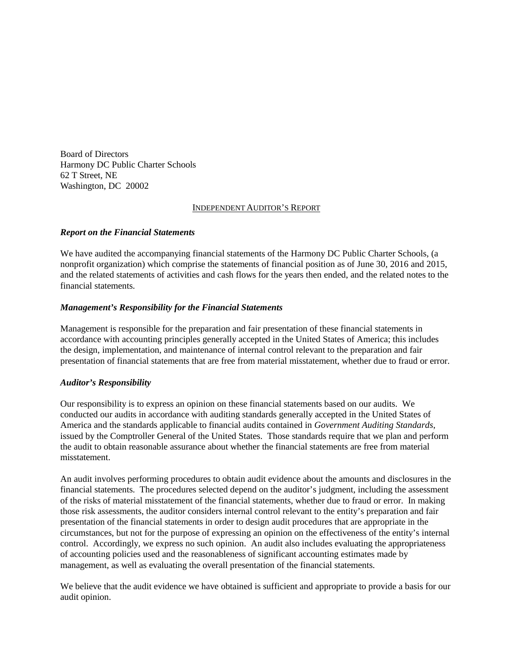### *Opinion*

In our opinion, the financial statements referred to above present fairly, in all material respects, the financial position of the Harmony DC Public Charter Schools as of June 30, 2016 and 2015, and the changes in its net assets and its cash flows for the years then ended in accordance with accounting principles generally accepted in the United States of America.

## *Report on Supplementary Information*

Our audit was conducted for the purpose of forming an opinion on the financial statements as a whole. The schedules of functional expenses and schedules of average cost per student are presented for purposes of additional analysis and are not a required part of the financial statements. Such information is the responsibility of management and was derived from and relates directly to the underlying accounting and other records used to prepare the financial statements. The information has been subjected to the auditing procedures applied in the audit of the financial statements and certain additional procedures, including comparing and reconciling such information directly to the underlying accounting and other records used to prepare the financial statements or to the financial statements themselves, and other additional procedures in accordance with auditing standards generally accepted in the United States of America. In our opinion, the information is fairly stated in all material respects in relation to the financial statements as a whole.

## *Other Reporting Required by Government Auditing Standards*

In accordance with *Government Auditing Standards*, we have also issued our report dated November 30, 2016, on our consideration of the Harmony DC Public Charter Schools' internal control over financial reporting and on our tests of its compliance with certain provisions of laws, regulations, contracts and grant agreements and other matters. The purpose of that report is to describe the scope of our testing of internal control over financial reporting and compliance and the results of that testing, and not to provide an opinion on the internal control over financial reporting or on compliance. That report is an integral part of an audit performed in accordance with *Government Auditing Standards* in considering the Harmony DC Public Charter Schools' internal control over financial reporting and compliance.

> Kendall, Prebola and Jones Certified Public Accountants

Bedford, Pennsylvania November 30, 2016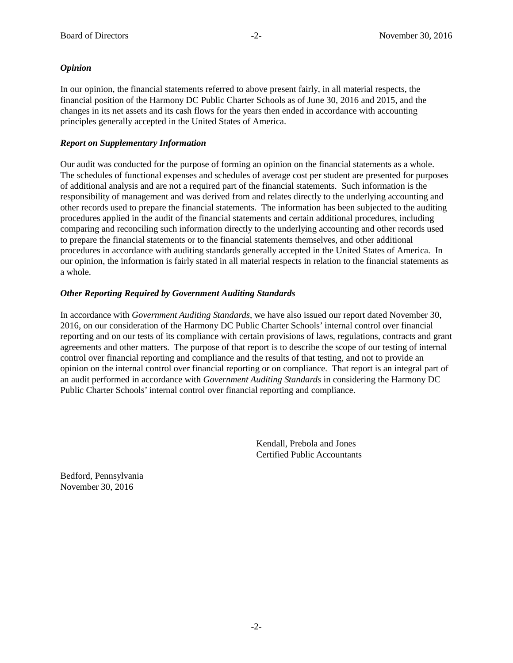## HARMONY DC PUBLIC CHARTER SCHOOLS COMPARATIVE STATEMENTS OF FINANCIAL POSITION JUNE 30, 2016 AND 2015

|                                               |    | June 30, 2016 |               | June 30, 2015 |
|-----------------------------------------------|----|---------------|---------------|---------------|
| <b>ASSETS</b>                                 |    |               |               |               |
| <b>Current Assets:</b>                        |    |               |               |               |
| Cash and Cash Equivalents                     | \$ | 202,220       | \$            | 74,828        |
| <b>Accounts Receivable</b>                    |    | 49,549        |               | 16,442        |
| <b>Grants Receivable</b>                      |    | 35,470        |               | 53,039        |
| Prepaid Expenses                              |    | 2,805         |               | 41,568        |
|                                               |    |               |               |               |
| <b>Total Current Assets</b>                   | \$ | 290,044       | \$            | 185,877       |
| <b>Fixed Assets:</b>                          |    |               |               |               |
| Fixed Assets, Net of Accumulated Depreciation | \$ | 213,251       | $\frac{1}{2}$ | 238,899       |
|                                               |    |               |               |               |
| <b>Total Fixed Assets</b>                     | \$ | 213,251       | $\frac{1}{2}$ | 238,899       |
| Other Assets:                                 |    |               |               |               |
| Deposits                                      | \$ | 105,730       | $\frac{1}{2}$ | 105,730       |
|                                               |    |               |               |               |
| <b>Total Other Assets</b>                     | \$ | 105,730       | \$            | 105,730       |
| <b>TOTAL ASSETS</b>                           | \$ | 609,025       | \$            | 530,506       |
| <b>LIABILITIES AND NET ASSETS</b>             |    |               |               |               |
| <b>Current Liabilities:</b>                   |    |               |               |               |
| Accounts Payable and Accrued Expenses         | \$ | 25,298        | \$            | 46,400        |
| Due to Related Party                          |    | 32,209        |               | 32,209        |
| Payroll Taxes and Related Liabilities         |    | 12,185        |               | 5,143         |
| Accrued Interest Payable                      |    | 50            |               | 1,002         |
| <b>Accrued Salaries and Vacation</b>          |    | 45,675        |               | 27,595        |
| <b>Unearned Revenue</b>                       |    |               |               | 34,620        |
| Line of Credit                                |    | 198,210       |               | 200,000       |
| <b>Current Portion of Deferred Rent</b>       |    | 89,722        |               | 80,452        |
| Current Portion of Capital Lease Payable      |    | 7,876         |               | 7,418         |
|                                               |    |               |               |               |
| <b>Total Current Liabilities</b>              | \$ | 411,225       | \$            | 434,839       |
| Long-Term Liabilities:                        |    |               |               |               |
| Deferred Rent                                 | \$ | 118,096       | \$            | 198,548       |
| Less: Current Portion Deferred Rent           |    | (89, 722)     |               | (80, 452)     |
| Capital Lease Payable                         |    | 9,235         |               | 16,653        |
| Less: Current Portion of Lease                |    | (7,876)       |               | (7, 418)      |
|                                               |    |               |               |               |
| <b>Total Long-Term Liabilities</b>            | \$ | 29,733        | $\frac{1}{2}$ | 127,331       |
| <b>Total Liabilities</b>                      | \$ | 440,958       | \$            | 562,170       |
| Net Assets:                                   |    |               |               |               |
| Unrestricted (Deficit)                        | \$ | 168,067       | \$            | (31, 664)     |
| <b>Temporarily Restricted</b>                 |    |               |               |               |
|                                               |    |               |               |               |
| <b>Total Net Assets</b>                       | S  | 168,067       | S.            | (31,664)      |
| TOTAL LIABILITIES AND NET ASSETS              | S  | 609,025       | \$            | 530,506       |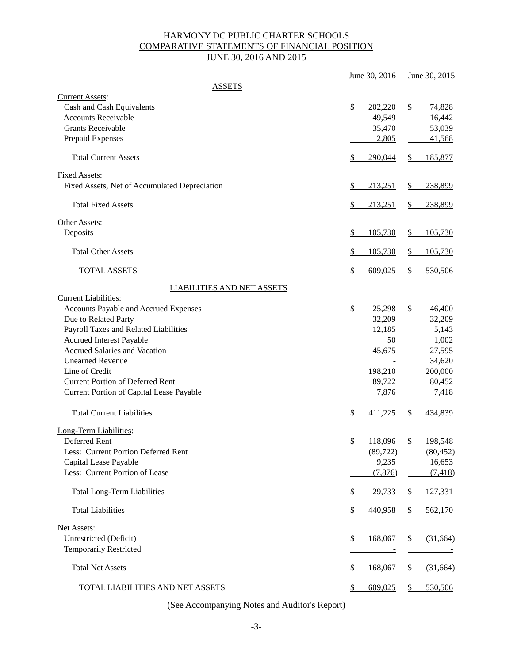### HARMONY DC PUBLIC CHARTER SCHOOLS COMPARATIVE STATEMENTS OF ACTIVITIES FOR THE YEARS ENDED JUNE 30, 2016 AND 2015

|                                           | June 30, 2016                          |                                             |                                      | June 30, 2015           |                                |                 |  |
|-------------------------------------------|----------------------------------------|---------------------------------------------|--------------------------------------|-------------------------|--------------------------------|-----------------|--|
|                                           | Unrestricted                           | Temporarily<br>Restricted                   | Total                                | Unrestricted            | Temporarily<br>Restricted      | Total           |  |
| Revenues and Other Support:               |                                        |                                             |                                      |                         |                                |                 |  |
| Per Pupil Funding Allocation              | \$<br>1,518,635                        | $\boldsymbol{\mathsf{S}}$<br>$\overline{a}$ | \$<br>1,518,635                      | 938,259<br>$\mathbb{S}$ | \$<br>$\overline{\phantom{a}}$ | \$<br>938,259   |  |
| Per Pupil Funding Allocation - Facilities | 324,896                                |                                             | 324,896                              | 202,752                 |                                | 202,752         |  |
| <b>Federal Entitlements and Grants</b>    | 242,735                                |                                             | 242,735                              | 654,941                 |                                | 654,941         |  |
| <b>State Government Grants</b>            | 15,586                                 | $\overline{\phantom{a}}$                    | 15,586                               | 1,843                   |                                | 1,843           |  |
| <b>Private Grants and Contributions</b>   | 2,211                                  |                                             | 2,211                                | 150                     | 5,000                          | 5,150           |  |
| Donated Services and Materials            | 49,358                                 |                                             | 49,358                               | 92,384                  |                                | 92,384          |  |
| Student Program Fees and Other            | 3,360                                  |                                             | 3,360                                | 5,044                   |                                | 5,044           |  |
| <b>Interest Income</b>                    | 25                                     |                                             | 25                                   | 25                      |                                | 25              |  |
| Net Assets Released from Restrictions -   |                                        |                                             |                                      |                         |                                |                 |  |
| Satisfaction of Program Restrictions      |                                        |                                             |                                      | 5,000                   | (5,000)                        |                 |  |
| Total Revenues, Gains and Other Support   | 2,156,806                              |                                             | \$2,156,806                          | 1,900,398               |                                | 1,900,398       |  |
| Expenses:                                 |                                        |                                             |                                      |                         |                                |                 |  |
| <b>Educational Services</b>               | 1,713,110<br>$\boldsymbol{\mathsf{S}}$ | \$<br>$\overline{\phantom{a}}$              | $\mathbb{S}$<br>1,713,110            | \$1,647,772             | \$                             | \$<br>1,647,772 |  |
| General and Administrative                | 243,965                                |                                             | 243,965                              | 284,290                 |                                | 284,290         |  |
| Fundraising                               |                                        |                                             |                                      |                         |                                |                 |  |
| <b>Total Expenses</b>                     | 1,957,075<br>\$                        |                                             | 1,957,075<br>\$                      | \$1,932,062             | <b>S</b>                       | 1,932,062<br>\$ |  |
| <b>Changes in Net Assets</b>              | 199,731<br>\$                          | $\mathcal{S}$<br>$\blacksquare$             | 199,731<br>$\boldsymbol{\mathsf{S}}$ | (31,664)<br>\$          | \$                             | (31, 664)<br>\$ |  |
| Net Assets at Beginning of Year           | (31, 664)                              |                                             | (31, 664)                            |                         |                                |                 |  |
| Net Assets at End of Year (Deficit)       | 168,067<br>\$                          |                                             | 168,067<br>\$                        | (31,664)<br>S.          |                                | (31, 664)       |  |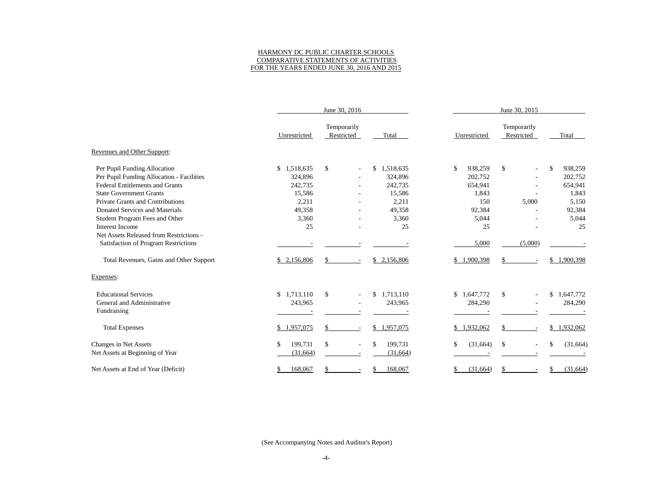### HARMONY DC PUBLIC CHARTER SCHOOLS COMPARATIVE STATEMENTS OF CASH FLOWS FOR THE YEARS ENDED JUNE 30, 2016 AND 2015

|                                                             | June 30, 2016   |    | June 30, 2015 |
|-------------------------------------------------------------|-----------------|----|---------------|
| <b>Cash Flows from Operating Activities:</b>                |                 |    |               |
| Changes in Net Assets                                       | \$<br>199,731   | \$ | (31,664)      |
| Adjustments to Reconcile Changes in Net Assets to Net       |                 |    |               |
| Cash Flows from Operating Activities:                       |                 |    |               |
| Depreciation and Amortization                               | 82,083          |    | 58,048        |
| Accounts Receivable - (Increase)/Decrease                   | (33, 107)       |    | (16, 442)     |
| Grants Receivable - (Increase)/Decrease                     | 17,569          |    | (53,039)      |
| Prepaid Expenses - (Increase)/Decrease                      | 38,763          |    | (41, 568)     |
| Deposits - (Increase)/Decrease                              |                 |    | (105,730)     |
| Accounts Payable - Increase/(Decrease)                      | (21, 102)       |    | 46,400        |
| Due to Related Party - Increase/(Decrease)                  |                 |    | 32,209        |
| Payroll Taxes and Related Liabilities - Increase/(Decrease) | 7,042           |    | 5,143         |
| Accrued Interest - Increase/(Decrease)                      | (952)           |    | 1,002         |
| Accrued Salaries and Vacation - Increase/(Decrease)         | 18,080          |    | 27,595        |
| Unearned Revenue - Increase/(Decrease)                      | (34, 620)       |    | 34,620        |
| Deferred Rent - Increase/(Decrease)                         | (80, 452)       |    | 198,548       |
| Net Cash Flows from Operating Activities                    | \$<br>193,035   | S. | 155,122       |
| <b>Cash Flows from Investing Activities:</b>                |                 |    |               |
| <b>Purchase of Fixed Assets</b>                             | \$<br>(56, 435) | \$ | (161, 941)    |
| Payments for Leasehold Improvements                         |                 |    | (112, 564)    |
| Net Cash Flows from Investing Activities                    | \$<br>(56, 435) | \$ | (274, 505)    |
| <b>Cash Flows from Financing Activities:</b>                |                 |    |               |
| Proceeds from Line of Credit                                | \$              | \$ | 200,000       |
| Payments on Line of Credit                                  | (1,790)         |    |               |
| Payments on Capital Lease                                   | (7, 418)        |    | (5,789)       |
| Net Cash Flows from Financing Activities                    | \$<br>(9,208)   | \$ | 194,211       |
| Net Increase in Cash and Cash Equivalents                   | \$<br>127,392   | \$ | 74,828        |
| Cash and Cash Equivalents at Beginning of Year              | 74,828          |    |               |
| Cash and Cash Equivalents at End of Year                    | \$<br>202,220   | \$ | 74,828        |

#### Supplemental Disclosures:

a) Interest in the amount of \$10,501 and \$1,963, respectively, was paid during the years ended June 30, 2016 and 2015.

b) No income taxes were paid during the years ended June 30, 2016 and 2015.

#### Non-Cash Disclosures:

- a) Investing activities for the year ended June 30, 2015, include the donation of computers with an estimated value of \$6,000.
- b) The Charter School obtained photocopy equipment during the year ended June 30, 2015, in the amount of \$22,442 through a capital lease obligation.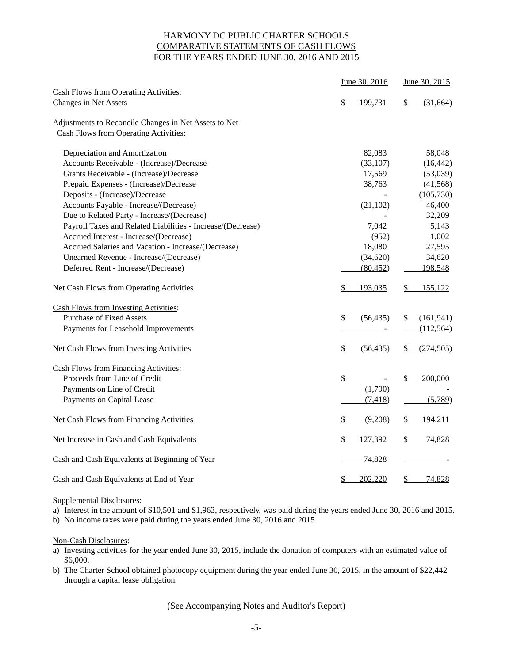The Harmony DC Public Charter Schools (the Charter School), a District of Columbia Not-for-Profit Corporation was incorporated on February 20, 2014, exclusively for educational purposes. The Charter School operates as part of the District of Columbia Public School System. The mission of the Charter School is to prepare students for higher learning in a safe, caring, and collaborative atmosphere through a quality learner-centered educational program with a strong emphasis on science, technology, engineering, and mathematics.

The Charter School's primary sources of support are local appropriations for Charter Schools from the District of Columbia Government. The Charter School also receives federal entitlement funding through the Office of the State Superintendent of Education.

#### 1. SUMMARY OF SIGNIFICANT ACCOUNTING POLICIES:

The significant accounting policies of the Charter School are summarized below:

(a) Basis of Accounting and Presentation:

The accompanying financial statements have been prepared on the accrual basis of accounting, which presents financial position, activities, functional expenses, and cash flows in accordance with accounting principles generally accepted in the United States of America.

(b) Revenue Recognition:

#### **Contributions**

The Charter School has adopted Financial Accounting Standards Board ASC No. 958-605-25, *Accounting for Contributions Received and Contributions Made.* As such, contributions are recognized as revenue when they are received or unconditionally pledged.

All contributions are available for unrestricted use unless specifically restricted by the donor. Contributions and promises to give with donor imposed conditions are recognized as unrestricted support when the conditions on which they depend are substantially met. Contributions and promises to give with donor imposed restrictions are reported as temporarily restricted support. Unconditional promises to give due in the next year are recorded at their net realizable value. An allowance for uncollectible contributions receivable is provided based upon management's judgement, including such factors as prior collection history and type of contribution.

The Charter School reports gifts of equipment as unrestricted support unless explicit donor stipulations specify how the donated assets must be used. The Charter School reports expirations of donor restrictions when the donated or acquired assets are placed in service.

### **Federal and Charter School Funding**

The Charter School receives a student allocation from the District of Columbia as well as federal funding to cover the cost of academic expenses. The student allocation is on a per pupil basis and includes the academic year funding, special education funding, and a facilities allotment. The Charter School recognized this funding in the year in which the school term is conducted. Funding received in advance of the school term is recorded as deferred revenue.

Federal entitlements are recognized based on the allowable costs incurred.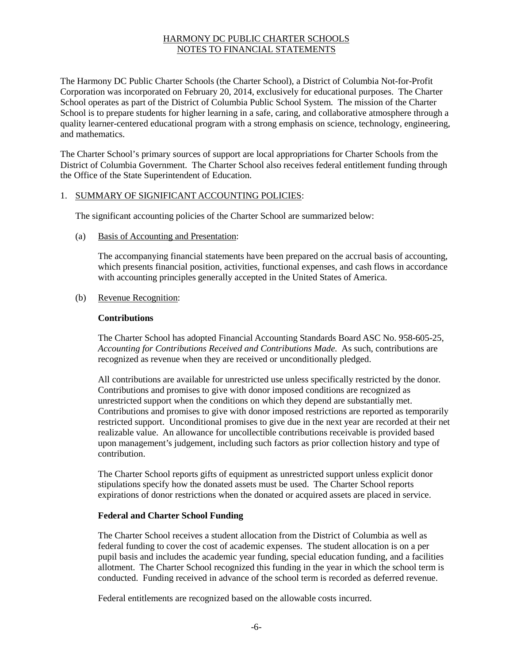### 1. SUMMARY OF SIGNIFICANT ACCOUNTING POLICIES: (Continued)

#### (b) Revenue Recognition: (Continued)

#### **Before and After Care Fees**

The Charter School's school day runs from 8:00 a.m. to 3:00 p.m. Monday through Friday. To provide additional learning opportunities and support the needs of parents and families, the Charter School partnered with the YMCA to provide after care at the school building beginning each day at dismissal and running through 6 p.m. While the Charter School's school day is free and open to all residents of the District of Columbia, participation in the aftercare program through the YMCA does require a weekly membership fee, which ranges from fulltuition to reduced tuition based on a sliding scale for families that qualify.

#### (c) Corporate Taxes:

The Charter School is exempt from federal and state income taxes (other than on unrelated business income) under the provisions of Section  $501(c)(3)$  of the Internal Revenue Code and similar state income tax laws. Exemption from District of Columbia income taxes was granted to the Charter School effective February 20, 2014. Accordingly, no provisions for income taxes have been provided for in the accompanying financial statements. The organization has been classified as other than a private foundation under Section  $509(a)(1)$  of the Internal Revenue Code and accordingly contributions qualify as a charitable tax deduction by the contributor under Section  $170(b)(1)(A)(ii)$ . The Charter School did not have any net unrelated business income for the year ended June 30, 2016.

The Charter School is also exempt from District of Columbia sales and personal property taxes.

(d) Grants:

Grant revenues are received primarily from Federal agencies and the District of Columbia Government. These grants are subject to financial and compliance audits by the grantor agencies. Such audits could result in a request for reimbursement by the agency for expenditures disallowed under the terms and conditions of the appropriate grantor. No provision for possible adjustment has been made in the accompanying financial statements because, in the opinion of management, such adjustment, if any, would not have a material effect on the financial statements.

Cash receipts in excess of costs incurred for grants are reflected as refundable advances until they are expended for the purpose of the grant, at which time they are recognized as unrestricted support. Costs incurred in excess of cash received are reflected as grants receivable.

(e) Net Assets:

The Charter School has adopted Financial Accounting Standards Board ASC No. 958-205-05, *Financial Statements of Not-for-Profit Organizations*. Under FASB ASC No. 958-205-05, the Charter School is required to report information regarding its financial position and activities according to three classes of net assets.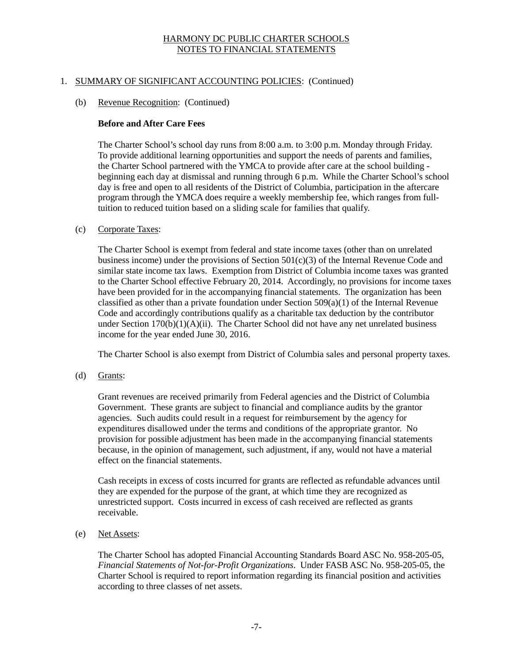### 1. SUMMARY OF SIGNIFICANT ACCOUNTING POLICIES: (Continued)

#### (e) Net Assets: (Continued)

Net assets and revenues, expenses, gains, and losses are classified based on the existence or absence of donor-imposed restrictions. Accordingly, net assets of the Charter School and changes therein are classified and reported as follows:

#### **Unrestricted Net Assets**

Net assets that are not subject to donor-imposed restrictions and over which the Board of Directors has discretionary control. This classification includes net assets subject to donorimposed conditions, which have been met in the current year and net assets subject to donorimposed restrictions that have been released from restrictions.

#### **Temporarily Restricted Net Assets**

Net assets subject to donor-imposed restrictions that may or will be met, either by actions of the Charter School and/or the passage of time. When a restriction expires, temporarily restricted net assets are reclassified to unrestricted net assets and reported in the statement of activities as net assets released from restrictions. There were no temporarily restricted net assets available at June 30, 2016 or 2015.

Net assets were released from donor restrictions by incurring expenses satisfying the restricted purposes, the passage of time, or by occurrence of other events specified by donors for the following program:

|                                |  | June 30, 2016 June 30, 2015 |  |       |
|--------------------------------|--|-----------------------------|--|-------|
| Support of Instructional Needs |  | $\overline{\phantom{0}}$    |  | 5.000 |
| Total                          |  | $\overline{\phantom{0}}$    |  | 5000  |

#### **Permanently Restricted Net Assets**

Net assets subject to donor-imposed stipulations that requires the net assets be maintained permanently by the Charter School. Generally, the donors of these assets permit the use of all or part of the income earned on any related investments for general or specific purposes. The Charter School did not have any permanently restricted net assets as of June 30, 2016 or 2015.

#### (f) Donated Services and Materials:

Donated services and materials are recognized as contributions in accordance with FASB ASC 958, *Accounting for Contributions Received and Contributions Made*, if the services received create or enhance nonfinancial assets or require specialized skills, and are provided by individuals possessing those skills, and would typically need to be purchased if not provided by donation.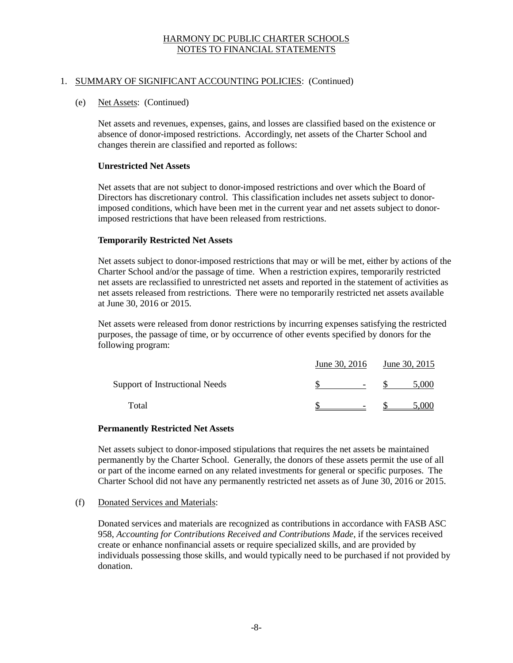### 1. SUMMARY OF SIGNIFICANT ACCOUNTING POLICIES: (Continued)

#### (f) Donated Services and Materials: (Continued)

Contributed services and promises to give services that do not meet the above criteria are not recognized. The time contributed by the Charter School's Board of Directors is uncompensated and is not reflected as donated services. In-kind contributions are recorded in the Statement of Activities at estimated fair value and recognized as revenue and expense (or an asset) in the period they are received.

The estimated value of donated services and materials has been recorded in the financial statements as follows:

|                                      |     | June 30, 2016 |   | June 30, 2015 |  |  |
|--------------------------------------|-----|---------------|---|---------------|--|--|
| <b>Intellectual Property License</b> | \$. | 49,358        | S | 33,175        |  |  |
| Leadership Salaries                  |     |               |   | 51,933        |  |  |
| <b>School Computers</b>              |     |               |   | 6,000         |  |  |
| <b>Student Uniforms</b>              |     |               |   | 1,276         |  |  |
| Total                                |     | 49.358        |   |               |  |  |

#### (g) Basic Programs:

Harmony Public Charter Schools' Science, Technology, Engineering, and Math (STEM) Program aims to prepare each student for higher education with a strong emphasis on Science, Technology, Engineering, and Mathematics. The program provides curriculum, instructional resources, and professional development for STEM teachers. Harmony STEM program is a part of Harmony Public Charter Schools Academic Department that involves a team of curriculum specialists, instructional coaches, and lead teachers in Harmony Public Schools System.

Harmony STEM program has the following components:

- Project Based Learning Program (PBL): Harmony provides curriculum, instructional resources, and PBL training to the teachers. Instructional administrators and STEM coordinator support teachers on site to assist the implementation of PBL.
- Professional Development: Harmony believes that content-focused professional development is a critical need to ensure the quality of teaching science and mathematics. Our STEM training model has two major components; the mastery of content knowledge and delivery of the content with effective instructional practices.
- STEM Culture: The department also provides strategies and resources for schools to build STEM school atmosphere connecting the students to higher education. We design a variety of opportunities for students to take STEM education "beyond the classroom" and see how today's instruction connects to career and lifelong learning.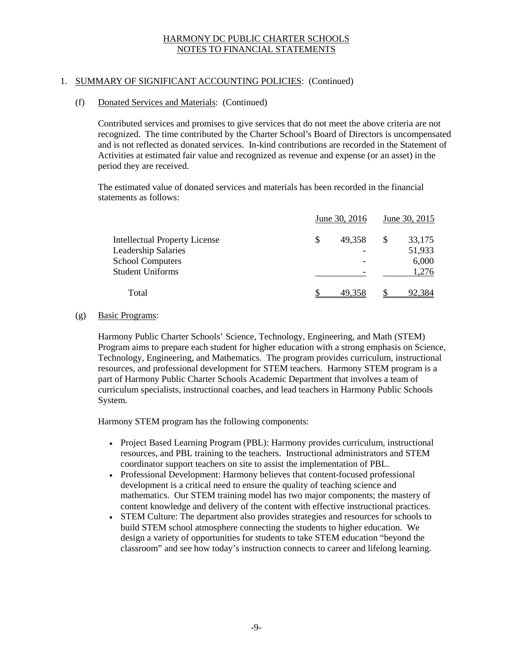### 1. SUMMARY OF SIGNIFICANT ACCOUNTING POLICIES: (Continued)

### (g) Basic Programs: (Continued)

### **APPROACH**

We are known for our project-based, hands-on approach to learning. Our approach is born out of the belief that kids learn best by exploring, discovering, and collaborating in carefully matched small groups. This is equally true in science and math as it is in English literature or art.

This constructivist approach is a lot like tinkering. It encourages students to draw connections between disciplines and build on their previous experience. It gives them the time and space to test their ideas and to figure out how things in the world work. It shows them that you have to fail a lot in order to learn and that failure is at the heart of innovation and invention. This is the way 21st century skills are built.

We believe that our small classrooms and collaborative learning style create an inviting, safe, and purposeful environment where students thrive. Walk into any classroom and you will see children peacefully solving their conflicts with the loving support of our dedicated teachers. Our behavioral expectations are clear and our students happily rise to meet them. Harmony's friendly and respectful atmosphere is contagious and carries on well after school is over.

#### **ASSESSMENT**

We use Amplify's DIBELS NEXT and Reading 3D, NWEA's MAP, ALEKS, and i-READY assessments to measure student growth and grade-level proficiency in math, reading, and language usage, taking a baseline at the beginning of the year and one at mid-terms. Progress monitoring assessments are used once a month to track student achievement more closely. The resulting data gives our teachers essential information about what each student knows so that they can create tutoring rosters, small groups, and targeted instructional plans to reinforce, develop, or introduce specific skills and concepts.

#### **PROFESSIONAL DEVELOPMENT**

Continuous and embedded professional development is the key for raising student achievement and we take it seriously at Harmony. Every Wednesday afternoon our teachers collaborate in a Professional Learning Community (PLC) to share their struggles and what works in a focused and powerful way. Outside of the formal PLC structure, our teachers share their planning periods every day. Informally, you will often see our teachers working together after school into the evening hours.

Customizable professional learning maps are built-in online to our math, English language arts, and science curricula. It allows teachers to reflect on and take control of their own PD, building content knowledge and instructional capacity that they can take directly to the classroom.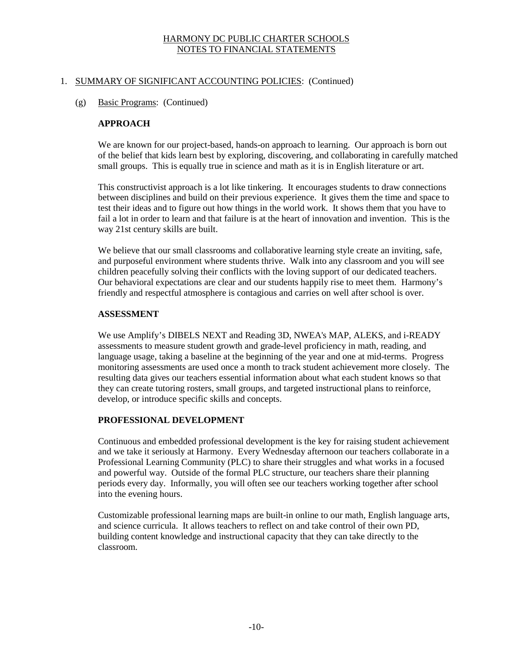### 1. SUMMARY OF SIGNIFICANT ACCOUNTING POLICIES: (Continued)

#### (h) Functional Expense Allocation Policies and Procedures:

Management has elected to prepare a schedule of functional expenses that is presented as supplemental information to the financial statements. The schedule of functional expenses presents an allocation of each expense category between program services, general and administrative, and fundraising activities. Program service costs pertain to educating students. General and administrative costs pertain to supporting activities. Fundraising costs relate to fundraising activities such as special events, fundraisers and the soliciting of contributions.

Management has established functional expense allocation policies and procedures based on a reasonable analysis of cost drivers and reasonable allocation estimates based on financial results and industry standards.

Direct costs, where identifiable, are allocated in whole to the appropriate functional category. Direct student expenses (textbooks, materials, instructional supplies, assessment material, contract educational services, and food service) are allocated entirely to program services.

Personnel expenses for salaries, payroll taxes and employee benefit plans are allocated based on job descriptions and management estimates of time spent on particular activities. Personnel expenses for salaries are divided into employee categories (executive, teachers, support staff, etc.) and then a percentage of time spent on program services, general and administrative activities, and fundraising activities is applied. All other personnel expenses (employee benefits, payroll taxes, staff development) are allocated based on the weighted average allocation of the direct salaries.

Other expenses that are not directly identifiable by program are allocated based on management estimates of use of resources. For other expenses where it would not be appropriate to designate 100 percent as a program service cost, general and administrative cost, or fundraising cost, the allocation formula for personnel expenses is utilized for cost allocation purposes.

### (i) Use of Estimates:

The preparation of financial statements in conformity with accounting principles generally accepted in the United States of America requires management to make estimates and assumptions that affect the reported amounts of assets, liabilities, the disclosure of contingent assets and liabilities at the date of the financial statements, and the reported amounts of support and revenues and expenses during the reporting period. Actual results could differ from those estimates.

### (j) Recognition of Salary Expense:

Salary expense is recognized in the year the service is rendered, which coincides with the academic year. Salaries unpaid at June 30 are recognized as expense and accrued salaries.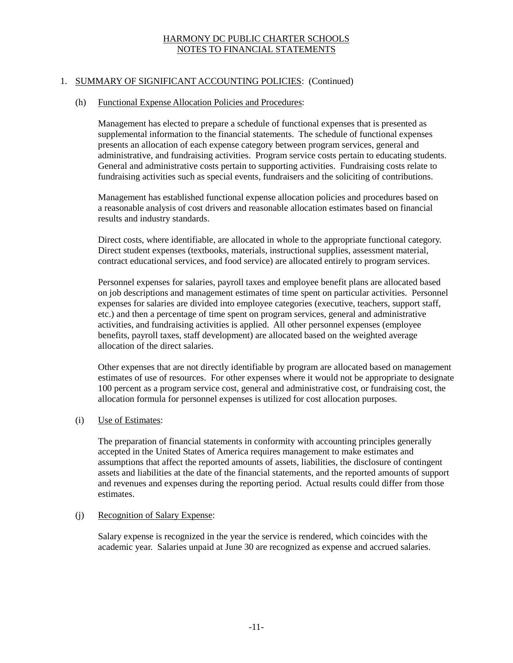## 1. SUMMARY OF SIGNIFICANT ACCOUNTING POLICIES: (Continued)

### (k) Fair Value of Certain Financial Instruments:

Some of the Charter School's financial instruments are not measured at fair value on a recurring basis but nevertheless are recorded at amounts that approximate fair value due to their liquid or short-term nature. Such accounts include cash, accounts receivable, prepaid expenses, accounts payable, and accrued expenses.

### 2. ACCOUNTING FOR UNCERTAIN TAX POSITIONS:

Accounting principles generally accepted in the United States of America provide consistent guidance for the accounting for uncertainty in income taxes recognized in the Charter School's financial statements and prescribe a threshold of "more likely than not" for recognition of tax positions taken or expected to be taken in a tax return. The Harmony DC Public Charter Schools performed an evaluation of uncertain tax positions for the year ended June 30, 2016, and determined that there were no matters that would require recognition in the financial statements or that may have any effect on its tax-exempt status. As of June 30, 2016, the statute of limitations for tax years 2012 through 2014 remains open with the U.S. federal jurisdiction or the various states and local jurisdictions in which the organization files tax returns. It is the Charter School's policy to recognize interest and/or penalties related to uncertain tax positions, if any, in income tax expense. As of June 30, 2016, the Charter School had no accruals for interest and/or penalties.

#### 3. CASH AND CASH EQUIVALENTS:

Cash and cash equivalents at year end consisted of the following:

|                                                                                |   | June 30, 2016    | June 30, 2015 |                         |  |
|--------------------------------------------------------------------------------|---|------------------|---------------|-------------------------|--|
| Checking Account - Non Interest Bearing<br><b>Money Market</b><br>Cash on Hand | S | 196,465<br>5,755 |               | 55,650<br>19,025<br>153 |  |
| Total                                                                          |   | 202.220          |               | 74.828                  |  |

For purposes of the cash flow statement and financial statement presentation, cash and cash equivalents are short term, highly liquid investments with original maturities of three months or less.

The Charter School maintains its operating funds in various financial institutions in the form of a non-interest bearing business checking and a money market. These accounts are covered under the Federal Deposit Insurance Corporation (FDIC) Program. Federal Deposit Insurance Corporation insurance coverage is \$250,000 per account category. Deposits held in non-interest-bearing transaction accounts are aggregated with interest-bearing deposits and the combined total is insured up to \$250,000.

As of June 30, 2016 and 2015, none of the bank balance was deposited in excess of Federal Deposit Insurance Corporation limits. Due to increased cash flows at certain times during the year, the amount of funds at risk may have been greater than at year end. The Charter School was at risk for the funds held in excess of the insured amounts. The Charter School has not experienced any losses related to these accounts and does not believe it is exposed to any significant credit risk on cash and cash equivalents.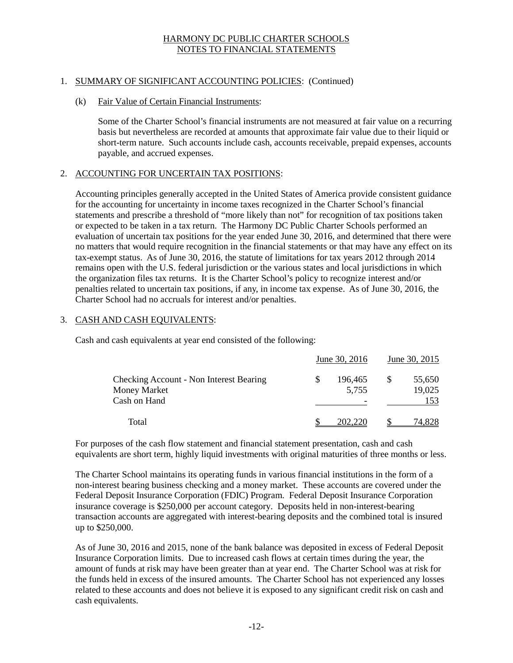## 4. ACCOUNTS, GRANTS AND PROMISES RECEIVABLE:

#### Accounts and Grants Receivable:

Accounts and grants receivable are current and considered to be fully collectible by management. Balances at June 30, 2016 and 2015 consisted of the following:

|                                                                                                                                                                                                                                                                    | June 30, 2016 |                                 | June 30, 2015 |                                           |
|--------------------------------------------------------------------------------------------------------------------------------------------------------------------------------------------------------------------------------------------------------------------|---------------|---------------------------------|---------------|-------------------------------------------|
| <b>Accounts Receivable</b>                                                                                                                                                                                                                                         |               |                                 |               |                                           |
| Per Pupil Funding<br>Reimbursable Expenses<br>Other<br>Pay-Pal                                                                                                                                                                                                     | \$            | 44,811<br>1,092<br>3,646        | \$            | 15,100<br>778<br>564                      |
| Total                                                                                                                                                                                                                                                              |               | 49,549                          |               | 16,442                                    |
| Grants Receivable                                                                                                                                                                                                                                                  |               |                                 |               |                                           |
| <b>Charter School Planning and Implementation Grant</b><br>National Food Program Cluster<br><b>Physical Education Grant</b><br><b>Healthy Schools Act</b><br>Elementary and Secondary Education Act - Title I<br>Elementary and Secondary Education Act - Title II | \$.           | 26,769<br>6,705<br>1,636<br>360 | \$            | 29,114<br>3,500<br>230<br>11,319<br>8,876 |
| Total                                                                                                                                                                                                                                                              | \$            | 35,470                          |               | 53,039                                    |

The Charter School's accounts and grants receivable consists of unsecured amounts due from funding sources whose ability to pay is subject to changes in general economic conditions. Because the Charter School does not require collateral, it is at credit risk for the balance of the accounts and grants receivable at year end.

Accounts and grants receivable are stated at the amount management expects to collect from outstanding balances. Management provides for probable uncollectable amounts through a provision for bad debt expense and an adjustment to a valuation allowance based on its assessment of the current status of individual accounts. Balances outstanding after management has used reasonable collection efforts are written off through a charge to the valuation allowance and a credit to accounts or grants receivable. Management believes that an allowance was not required, based on its evaluation of collectability of receivables for the years ended June 30, 2016 and 2015.

Trade receivables related to program service fees are recognized as revenue on the accrual basis of accounting at the time the program activity has occurred. Credit is extended for a period of 60 days with no interest accrual at which time payment is considered delinquent. Trade receivables are written off as uncollectable when collection efforts have been exhausted.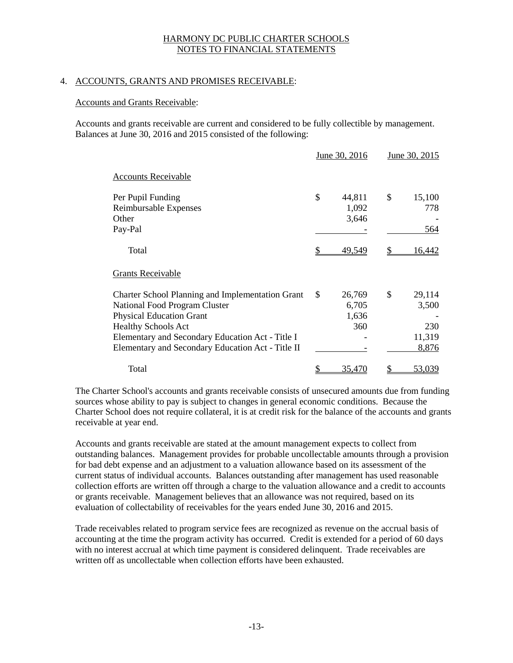### 4. ACCOUNTS, GRANTS AND PROMISES RECEIVABLE: (Continued)

#### Promises Receivable:

Contributions are recognized when the donor makes a promise to give that is, in substance, unconditional. Promises to give represent amounts committed by donors that have not been received by the Charter School. The Charter School uses the allowance method to determine uncollectible promises to give.

#### 5. FIXED ASSETS:

Furniture and equipment are recorded at cost, or in the case of contributed property at the fair market value at the date of contribution. If an expenditure in excess of \$1,000 results in an asset having an estimated useful life which extends substantially beyond the year of acquisition, the expenditure is capitalized at cost and depreciated over the estimated useful lives of the assets. When assets are retired, or otherwise disposed of, the cost and related accumulated depreciation is removed from the accounts and any resulting gain or loss is reflected in income for the period. Depreciation has been provided on the straight-line method over the estimated useful lives of the assets. Leasehold improvements have been amortized over the term of the rental lease agreement. Depreciation and amortization expense for the years ended June 30, 2016 and 2015, was \$82,083 and \$54,048, respectively. Maintenance and repairs are charged to expenses as incurred.

Major classifications of fixed assets and their estimated useful lives are as summarized below:

| June 30, 2016             |             |               | Accumulated<br>Amortization |              |
|---------------------------|-------------|---------------|-----------------------------|--------------|
|                           | Depreciable |               | and                         | Net Book     |
|                           | Life        | Cost          | Depreciation                | Value        |
| Computer Equipment        | 3 Years     | \$<br>96,377  | \$<br>36,904                | \$<br>59,473 |
| Furniture and Equipment   | 3-5 Years   | 144,441       | 59,409                      | 85,032       |
| Leasehold Improvements    | 60 Months   | 112,564       | 43,818                      | 68,746       |
| <b>Total Fixed Assets</b> |             | \$<br>353,382 | 140,131<br>\$               | 213,251      |
| June 30, 2015             |             |               | Accumulated                 |              |
|                           |             |               | Amortization                |              |
|                           | Depreciable |               | and                         | Net Book     |
|                           | Life        | Cost          | Depreciation                | Value        |
| Computer Equipment        | 3 Years     | \$<br>39,942  | \$<br>9,616                 | \$<br>30,326 |
| Furniture and Equipment   | 3-5 Years   | 144,441       | 27,529                      | 116,912      |
| Leasehold Improvements    | 60 Months   | 112,564       | 20,903                      | 91,661       |
| <b>Total Fixed Assets</b> |             | 296,947       | 58,048                      | 238,899      |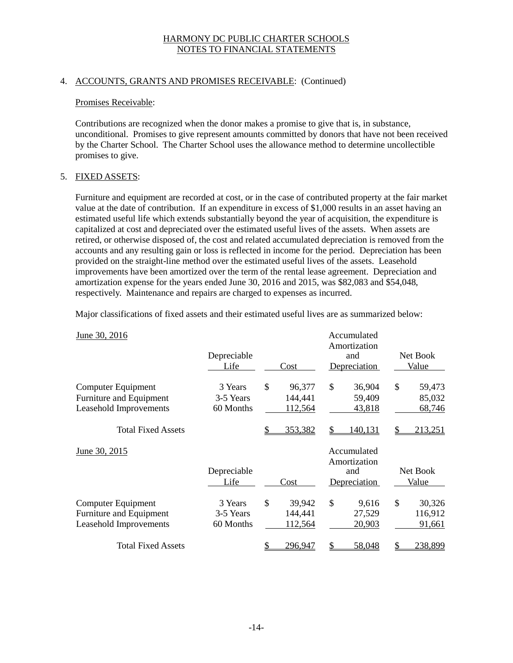### 6. DEFERRED RENT:

Accounting principles generally accepted in the United States of America require that rent expense, pursuant to a non-cancelable lease including a rent abatement period and/or fixed scheduled rent increases, be recorded on a straight-line basis over the term of the lease. The difference between this expense and the required lease payments is reflected as deferred rent abatement in the accompanying statement of financial position.

The Charter School entered into a lease agreement for the rental of office space located in Washington DC for five years, commencing on July 1, 2014, and expiring on June 30, 2019. In the first year of the rental lease agreement, total rent of \$180,000 was deferred to future years. In addition, there is an annual escalation clause of three percent (3%). Accordingly, \$198,548 of future rent payments have been recorded as a liability to adjust the actual rent paid to conform to the straight-line basis. The balance of the unamortized deferred rent abatement at June 30, 2016 and 2015 was \$118,096 and \$198,548, respectively.

#### 7. CAPITAL LEASE PAYABLE:

On August 21, 2014, the Charter School entered into a capital lease for the purchase of two CopyStar photocopiers. The total amount financed on the capital lease was \$22,442 payable over thirty-six (36) months with a monthly payment of \$685. Maturity is scheduled for August 21, 2017. Interest expense was \$718 and \$1,069, respectively, for the years ended June 30, 2016 and 2015 using an implicit rate of 6.00%. The lease is secured by the photocopiers that cost \$22,442 and is presented as part of the carrying balance of Fixed Assets. For the years ended June 30, 2016 and 2015, depreciation expense in the amount of \$7,481 and \$6,234, respectively, on the photocopiers has been included in depreciation expense. Accumulated depreciation at June 30, 2016 and 2015 was \$13,715 and \$6,234, respectively. The balance of the capital lease debt was \$9,235 and \$16,653, respectively, at June 30, 2016 and 2015. The Charter School is committed under this capital lease to make future minimum payments as follows:

| Year Ending June 30,                       | Total | Principal      | Interest |
|--------------------------------------------|-------|----------------|----------|
| 2017<br>2018                               | 8.220 | 7.876<br>1,359 | 344      |
| <b>Total Future Minimum Lease Payments</b> | 9,590 | 9.235          | 355      |

#### 8. LINE OF CREDIT:

On November 14, 2014, the Charter School entered into a revolving Line of Credit arrangement with East West Bank for a total authorized amount of \$350,000 and a maturity date of November 14, 2015. The Line of Credit has been extended through January 14, 2017. This line bears interest at a variable rate of the Wall Street Journal Prime Rate plus 2.0 percentage points over prime. This Line of Credit is collateralized by the inventory, equipment, and accounts including an assignment of government grants, and facility fees and per-pupil funding from the District of Columbia Government. In addition, the Charter School has granted a security interest to the financial institution in a money market maintained with a minimum balance of \$19,000. During the year ended June 30, 2015, total principal draws on the Line totaled \$200,000. Total interest expense incurred on this Line of Credit for the years ended June 30, 2016 and 2015 was \$9,783 and \$1,896. The balance of the Line of Credit at June 30, 2016, was \$198,210 with an effective interest rate of 5.50%. The balance of the Line of Credit at June 30, 2015, was \$200,000 with an effective interest rate of 5.25%.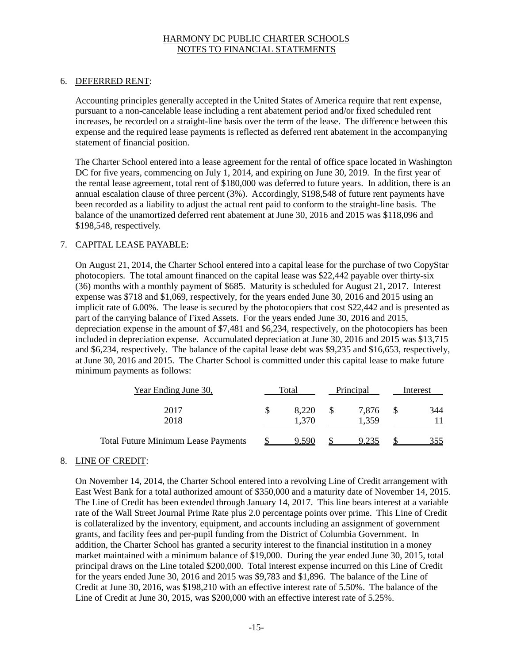### 9. DISTRICT OF COLUMBIA PUBLIC CHARTER SCHOOL BOARD CONTRACT:

The Charter School was approved by the District of Columbia Public Charter School Board to operate a charter school in the District of Columbia. The District of Columbia Public Charter School Board (DCPCSB) is responsible for the ongoing oversight of the School's fiscal management and academic acceptability. The contract dated July 1, 2014, provides for a 15-year charter effective the date of first operation. If not renewed, the charter contract will expire on or about July 1, 2029. The charter contract may be renewed for successive 15-year periods if the DCPCSB deems that the Charter School is in compliance with its charter contract and District statutory provisions. In addition, in accordance with the Charter School Act, the DCPCSB is required to review Harmony DC's charter every five years, with the first such review scheduled to occur in 2019. The DCPCSB may revoke (or not renew) a charter school contract if a school violates applicable law, materially violates the charter contract or fails to meet the student academic achievement expectations set forth in the charter contract. Consequently, management does not anticipate non-renewal or revocation of its charter.

As part of the agreement with the DCPCSB, the Charter School may be charged a public charter school fee, which is not to exceed one percent of the total revenues (less philanthropic and investment revenues) within the annual budget to cover the costs of undertaking the ongoing administrative responsibilities of the Board. For the years ended June 30, 2016 and 2015, the Charter School incurred \$20,385 and \$18,192, respectively, in administrative fees.

The charter contract provides that the Charter School may educate up to a predetermined number of students. However, this enrollment limit may be raised upon notification to and acceptance by the DCPCSB. The Charter School enrollment ceiling for the year ended June 30, 2016, was not permitted to be greater than 288 students. Audit enrollment for the 2015/2016 year was 104 students. Audit enrollment for the 2014/2015 year was 66 students.

#### 10. PER-PUPIL FUNDING ALLOCATION:

The Charter School receives local funding from the District of Columbia in the form of per-pupil educational allotments and facility allotments. This funding is based on the equivalent number of full-time students and is determined annually. For the year ended June 30, 2016, the per-student rate ranged from \$9,492 to \$12,340 for the education allotment and \$3,124 for the facility allotment. For the year ended June 30, 2015, the per-student rate ranged from \$9,492 to \$12,430 for the education allotment and \$3,072 for the facility allotment. Additional allotments were made for Special Education Services. Per-pupil funding for the years ended June 30, 2016 and 2015 was as follows:

|                                       | June 30, 2016 | June 30, 2015            |
|---------------------------------------|---------------|--------------------------|
| Grade Level - Kindergarten to Grade 5 | 1,041,274     | <sup>\$</sup><br>663.491 |
| <b>Facilities Allowance</b>           | 324,896       | 202,752                  |
| <b>Special Education</b>              | 339,161       | 135,474                  |
| <b>At-Risk Students</b>               | 128,898       | 139,294                  |
| English as a Second Language          | 9,302         |                          |
| Total                                 | 1.843.531     |                          |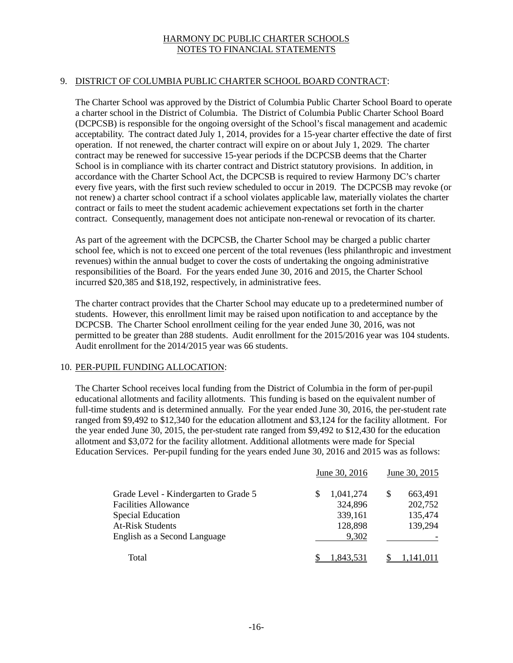### 11. FEDERAL ENTITLEMENTS AND GRANTS:

During the years ended June 30, 2016 and 2015, the Charter School participated in multiple federal award programs. Federal revenues recognized during the years ended June 30, 2016 and 2015, were as follows:

|                                                    | June 30, 2016 | June 30, 2015 |         |
|----------------------------------------------------|---------------|---------------|---------|
| Charter School Planning and Implementation         |               |               |         |
| Grant (Title V, Part B)                            | \$<br>102,049 | S             | 530,570 |
| NCLB - Entitlement Funds (Title I)                 | 64,017        |               | 52,981  |
| National School Lunch and Breakfast Program        | 49,637        |               | 22,881  |
| <b>Physical Education Grant</b>                    | 10,315        |               | 2,380   |
| NCLB - Entitlement Funds (Title II)                | 9,264         |               | 21,206  |
| Individuals with Disabilities Education Act (IDEA) | 7,453         |               | 24,923  |
|                                                    |               |               |         |
| Total                                              |               |               | 654.94  |

Federal formula grants are allocations of money to States or their subdivisions in accordance with distribution formulas prescribed by law or administrative regulation, for activities of a continuing nature not confined to a specific project. The Charter School receives federal formula grants under the provisions of the No Child Left Behind Act (NCLB) of 2001, P.L 107-110. NCLB funds are not intended to replace state or local educational funding. Rather, NCLB funds provide additional support to states, LEAs, and schools for specific purposes. Grants are provided by the U.S. Department of Education and passed through the District of Columbia Office of the State Superintendent of Education.

The National School Lunch Program and School Breakfast Program are part of the child nutrition cluster of programs operated by the U.S. Department of Agriculture. The objectives of the child nutrition cluster programs are to: (1) assist States in administering food services that provide healthful, nutritious meals to eligible children in public and non-profit private schools, residential childcare institutions, and summer recreation programs; and (2) encourage the domestic consumption of nutritious agricultural commodities.

#### 12. COMMITMENTS:

## School Space - St. Martin of Tours:

The Charter School entered into a lease agreement on June 16, 2014, for the rental of a school building located at 62 T Street, NE, Washington DC, 20002. The lease term commenced on July 1, 2014, and is scheduled to expire on June 30, 2019. As a provision of this lease agreement, the Charter School has the option to renew this rental lease agreement for one additional five (5) year period. In the first year of the lease through June 30, 2015, required rent payments in the amount of \$180,000 were deferred by the landlord to future years. There is a 3% escalation clause each of the five years of the lease term. Monthly rental payments of \$5,000 were made during the months of March 2015 through June 30, 2015. Effective July 1, 2016, monthly rental payments of \$34,023 are required. As a requirement of this lease, a security deposit in the amount of \$100,000 was required to be made.

Rental expense related to this lease for the years ended June 30, 2016 and 2015, was \$322,673 and \$322,298, respectively.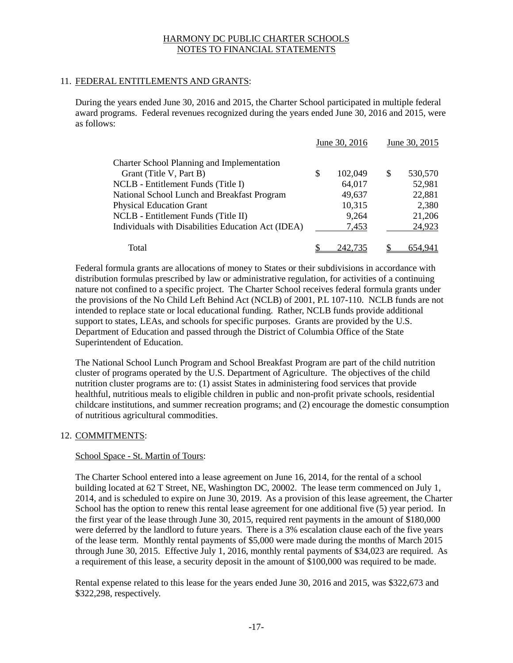## 12. COMMITMENTS: (Continued)

### School Space - St. Martin of Tours: (Continued)

As of June 30, 2016, future minimum rental obligations required under this lease, net of rent abatement are as follows:

| Year Ending June 30,                |   | Rent<br>Obligation            | Rent<br>Abatement               | Total                               |
|-------------------------------------|---|-------------------------------|---------------------------------|-------------------------------------|
| 2017<br>2018<br>2019                | S | 318,548<br>318,548<br>318,548 | \$<br>89,722<br>9,270<br>19.104 | \$<br>408,270<br>327,818<br>337,652 |
| Total Future Minimum Lease Payments |   | 955.644                       | 118.096                         | 1,073,740                           |

#### 13. CONCENTRATIONS:

#### Revenues:

The Charter School receives public funds from the DC government based on the number of students they enroll according to the Uniform Per Student Funding Formula developed by the Mayor and City Council. This per pupil allocation is supplemented with extra funds for students with special needs. During the years ended June 30, 2016 and 2015, eighty-five percent (85%) and sixty percent (60%), respectively, of total support was received from the District of Columbia in the form of per pupil funding.

In addition to the revenue received through the Uniform Per Student Funding, the Charter School receives state and federal grants awarded under the auspices of the U.S. Department of Education (No Child Left Behind and special education) as well as the U.S. Department of Agriculture (Child Nutrition). The Charter School is entitled to receive these funds by virtue of its recognition as a Local Education Agency by the District of Columbia Public Charter School Board (DC PCSB).

The Charter School is limited to enrolling students that are residents of the District of Columbia. As a DC Public Charter School, the Charter School must compete for students against the DC Public School system as well as other DC Public Charter Schools.

#### 14. CONTINGENCIES:

The Charter School was granted its initial charter by the District of Columbia Public Charter School Board, authorized under the District of Columbia School Reform Act of 1995, Public Law 104-134, as amended. The Charter School has no reason to believe that this relationship will be discontinued in the foreseeable future. However, any interruption of this relationship (i.e., the failure to continue this charter authorization or withholding funds) could adversely affect the Charter School's ability to finance ongoing operations.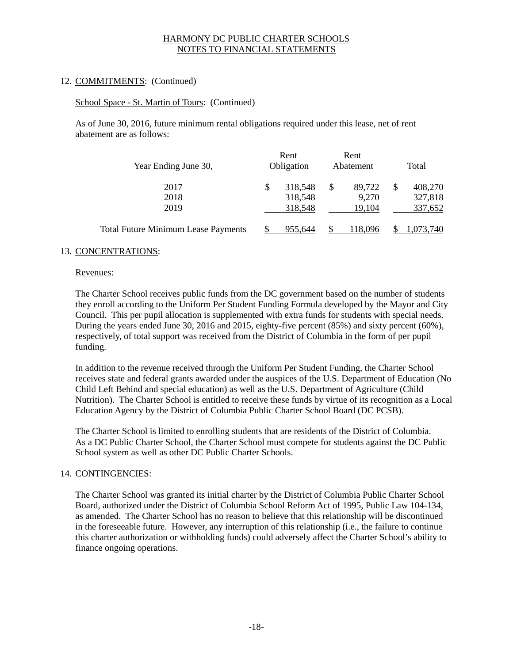### 14. CONTINGENCIES: (Continued)

The Charter School depends on per pupil allocations, grants, and contributions for a significant portion of its revenues. The ability of the sources of revenues to continue giving amounts comparable with prior years may be dependent upon future economic conditions and continued deductibility for income tax purposes of grants and contributions to the Charter School. While the Charter School's Board of Directors and management believes the Charter School has the resources to continue its programs, its ability to do so, and the extent to which it continues, may be dependent on the above factors.

Laws and regulations governing charter schools are complex and subject to interpretation. The Charter School believes that it is in compliance with all applicable laws and regulations and is not aware of any pending or threatened investigations involving allegations of potential wrongdoing.

The viability of public charter schools and funding for these schools is dependent on the consensus of current and future administration of the District of Columbia Government. Any future change in dynamics could adversely affect the operations of public charter schools.

### 15. SUBSEQUENT EVENTS:

#### Financial Statement Preparation:

In preparing these financial statements, management has evaluated events and transactions for potential recognition or disclosure through November 30, 2016, the date the financial statements were available to be issued, and has determined that no adjustments are necessary to the amounts reported in the accompanying financial statements.

#### Enrollment:

Enrollment for the 2016/2017 school year is projected to be approximately ninety-seven (97) students. These enrollment numbers are down from the current enrollment number of one-hundred and four (104) students during the 2015/2016 school year.

#### 16. RELATED PARTY TRANSACTIONS:

#### Organization Structure:

As enacted by the Articles of Incorporation, Harmony DC Public Charter Schools has a sole member with voting rights as well as other rights and privileges as authorized by its governing documents. The sole member is Harmony Public Schools, a separately incorporated Texas not-for-profit 501(c)(3) organization that operates multiple charter schools. Soner Tarim, the Chief Executive Officer and Superintendent of Schools for Harmony Public Schools, was the board president of Harmony DC Public Charter Schools throughout the fiscal year. As board president of Harmony DC, as well as having voting rights with Harmony DC, Mr. Tarim could influence the financial and operational activities of Harmony DC through voting authority. However, his voting rights did not constitute a majority of the Board of Directors and Mr. Tarim recused himself from all votes involving Harmony DC Schools.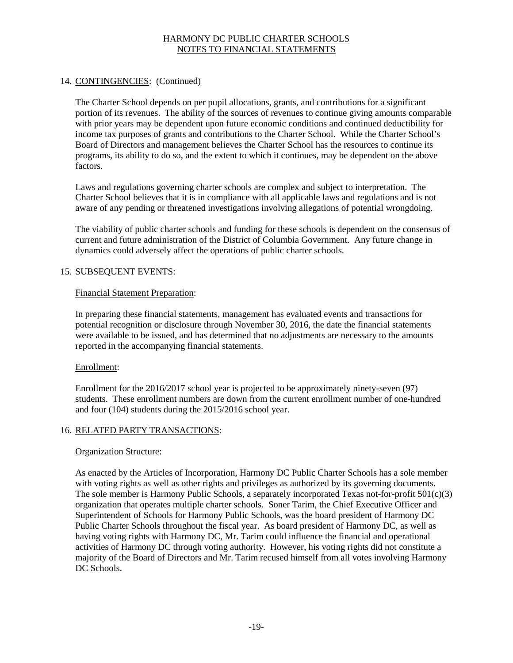## 16. RELATED PARTY TRANSACTIONS: (Continued)

#### License Fee:

Harmony Public Schools own trademarks, licensed marks and other intellectual property that are being utilized by Harmony DC Public Charter Schools. In exchange for the use of this property, a license agreement was entered into on July 1, 2014, between the two organizations for a five year period. According to the terms of the license agreement, the Charter School is required to pay an annual license fee to Harmony Schools at a rate of five (5) percent of the annual per pupil funds paid to the Charter School. During the years ended June 30, 2016 and 2015, this license fee was abated. An amount of \$49,358 and \$33,175, respectively, was recognized as a donated license fee for the years ended June 30, 2016 and 2015.

#### School Services Agreement:

Harmony Public Schools offers services that are an integral part of Harmony DC's charter school operations and activities. Given the structural relationship between the two organizations, effective July 1, 2014, Harmony Public Schools entered into a School Services Agreement with Harmony DC Public Charter Schools for a five-year period expiring on June 30, 2019. Services offered include education technology services, data network solutions, teacher and leadership coaching, and human resource and financial services. As of June 30, 2016 and 2015, an amount of \$32,209 was owed to Harmony Public Schools for both school services and reimbursable expenses.

#### Board of Directors:

In addition to the Chief Executive Officer of Harmony Schools serving as board president for Harmony DC Public Charter Schools, another member of the Charter School's board served as the Director of Communications for Harmony Public Schools through April 2016.

Two of the board members appointed to serve on the board of directors are parents of students attending the Charter School. Parent trustees are elected by a majority vote of the board members from a list of qualified individuals submitted to the board.

#### 17. ADVERTISING:

Advertising costs are expensed when incurred. Advertising was conducted for the purpose of promoting open enrollment and recruiting to the Charter School and to provide outreach to the community. Advertising expenses in the amount of \$420 and \$19,732 were incurred during the years ended June 30, 2016 and 2015, respectively.

#### 18. RETIREMENT PLAN:

#### 401(k) Profit Sharing Plan:

The Charter School provides pension benefits for its employees through a defined contribution 401(k) retirement plan which is currently administered by Ascensus. In a defined contribution plan, benefits depend solely on amounts contributed to the plan plus investment earnings. Provisions of the plan allow for employees to contribute up to the statutory limits set by the Internal Revenue Code. All employees are eligible to participate upon hiring.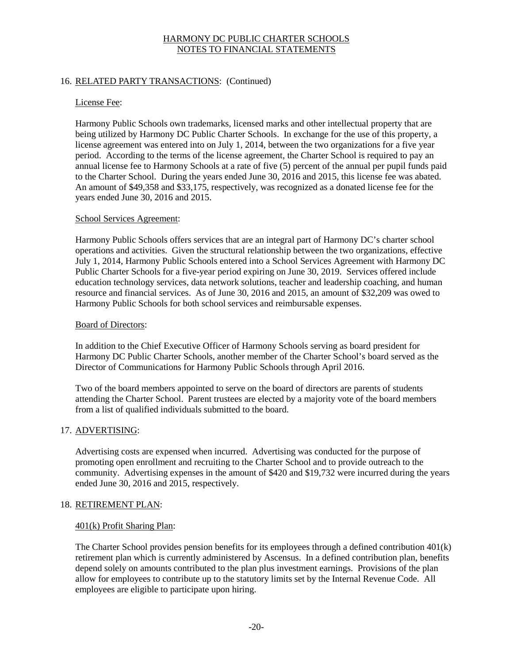### 18. RETIREMENT PLAN: (Continued)

#### 401(k) Profit Sharing Plan: (Continued)

The Charter School is required to make employer non-elective safe harbor contributions of 3% of annual employee compensation. Participants are 100% vested in their contributions and the 3% employer safe harbor contribution. There is no unfunded past service liability. In addition, there is a discretionary profit sharing contribution determined on an annual basis that becomes fully vested after five years of service. There were no profit sharing contributions during the years ended June 30, 2016 and 2015. Safe harbor employer contributions for the years ended June 30, 2016 and 2015, were \$23,404 and \$9,695, respectively.

#### 19. EMPLOYEE BENEFITS:

The cost of fringe benefits incurred for the years ended June 30, 2016 and 2015 consisted of the following:

|                               |    | June 30, 2016 | June 30, 2015 |
|-------------------------------|----|---------------|---------------|
| Social Security/Medicare      | \$ | 61,164        | \$<br>52,638  |
| <b>Health Insurance</b>       |    | 61,125        | 48,578        |
| Life and Disability Insurance |    | 4,361         | 2,921         |
| Retirement                    |    | 23,404        | 9,695         |
| Unemployment                  |    | 5,906         | 7,945         |
| <b>Workers Compensation</b>   |    | 3,857         | 3,438         |
| Total                         | S  | 159,817       | 125,215       |

#### Flexible Benefits Plan:

The Charter School adopted a Section 125 Flexible Benefits Plan (Cafeteria Plan). Under this plan, employees are permitted to use pre-tax benefit dollars through payroll deduction to pay for medical premiums.

#### 20. OCCUPANCY COST:

The cost of occupancy for the years ended June 30, 2016 and 2015 consisted of the following:

|                                     | June 30, 2016 | June 30, 2015 |
|-------------------------------------|---------------|---------------|
| Rent                                | \$<br>322,673 | 322,298<br>S  |
| <b>Utilities</b>                    | 36,075        | 41,890        |
| <b>Contracted Building Services</b> | 37,640        | 23,289        |
| Maintenance and Repairs             | 7,900         | 42,866        |
| <b>Janitorial Supplies</b>          | 1,362         | 2,747         |
| <b>Leasehold Amortization</b>       | 22,915        | 20,903        |
| Total                               | 428.565       | 453,993       |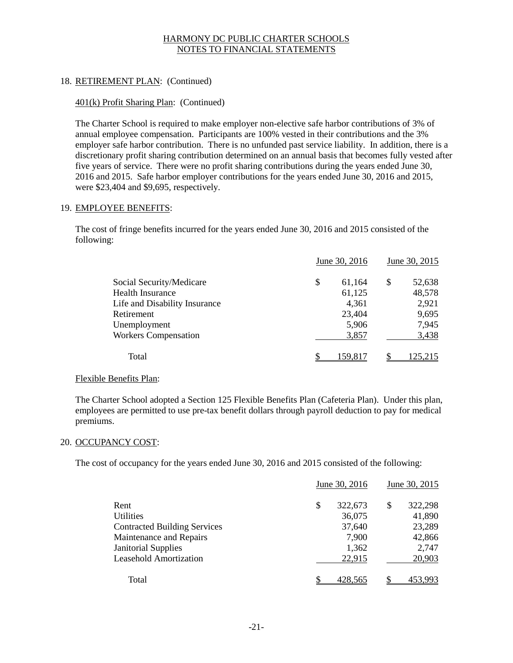### 21. CONSOLIDATION:

Management has applied principles of FASB ASC 958-810, *Reporting of Related Entities by Not-for-Profit Organizations,* in assessing the need to consolidate the financial statements of Harmony DC Public Charter Schools with those of Harmony Public Schools. Under FASB ASC 958-810, consolidation should occur if both an economic interest between the organizations and control (such as ownership or a majority of common board members) exists. Harmony Public Schools is the sole member/owner of Harmony DC Schools. Based on the criteria stipulated in the pronouncement, management has determined that financial statement consolidation is appropriate. The financial statements of Harmony DC Public Charter Schools have been included in the separately issued financial statements of Harmony Public Schools.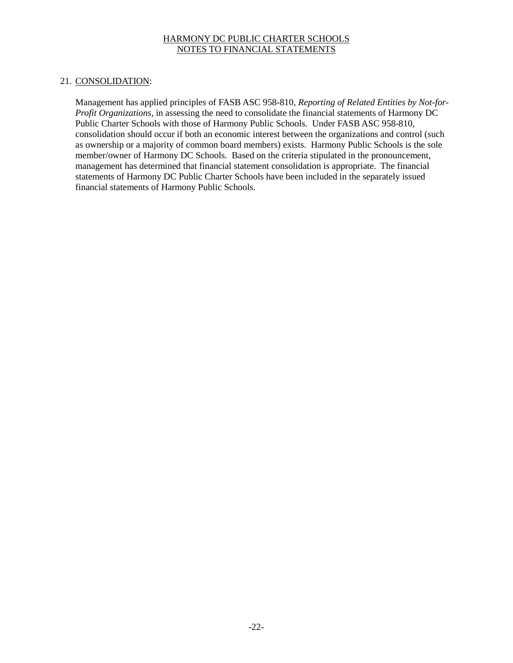### HARMONY DC PUBLIC CHARTER SCHOOLS COMPARATIVE STATEMENTS OF FUNCTIONAL EXPENSES FOR THE YEARS ENDED JUNE 30, 2016 AND 2015

|                                            | June 30, 2016 |               |                         |               |                               |                           | June 30, 2015 |         |              |                         |               |                               |                           |
|--------------------------------------------|---------------|---------------|-------------------------|---------------|-------------------------------|---------------------------|---------------|---------|--------------|-------------------------|---------------|-------------------------------|---------------------------|
|                                            | Total         |               | Educational<br>Services |               | General and<br>Administrative | Fundraising               |               | Total   |              | Educational<br>Services |               | General and<br>Administrative | Fundraising               |
| Personnel, Salaries and Benefits:          |               |               |                         |               |                               |                           |               |         |              |                         |               |                               |                           |
| <b>Executive Leadership Salaries</b>       | 268,767<br>\$ | <sup>S</sup>  | 215,014                 | $\mathcal{S}$ | 53,753                        | $\sqrt[6]{\frac{1}{2}}$   | $\frac{1}{2}$ | 202,820 | \$           | 162,256                 | $\sqrt$       | 40,564                        | $\boldsymbol{\mathsf{S}}$ |
| Donated Leadership Salaries                |               |               |                         |               |                               |                           |               | 51,933  |              | 41,547                  |               | 10,386                        |                           |
| <b>Teaching Staff Salaries</b>             | 476,656       |               | 476,656                 |               |                               |                           |               | 391,186 |              | 391,186                 |               |                               |                           |
| <b>Student Support Salaries</b>            | 44,403        |               | 44,403                  |               |                               |                           |               | 69,527  |              | 69,527                  |               |                               |                           |
| Office and Administrative Staff            | 46,633        |               | 41,970                  |               | 4,663                         |                           |               | 34,186  |              |                         |               | 34,186                        |                           |
| <b>Employee Benefits</b>                   | 92,747        |               | 86,270                  |               | 6,477                         |                           |               | 64,632  |              | 51,705                  |               | 12,927                        |                           |
| <b>Payroll Taxes</b>                       | 67,070        |               | 62,386                  |               | 4,684                         |                           |               | 60,583  |              | 48,466                  |               | 12,117                        |                           |
| <b>Travel and Meetings</b>                 |               |               |                         |               |                               |                           |               | 12,309  |              | 9,848                   |               | 2,461                         |                           |
| <b>Staff Development Expense</b>           | 16,698        |               | 16,698                  |               |                               |                           |               | 13,856  |              | 13,856                  |               |                               |                           |
| <b>Other Personnel Expenses</b>            | 8,223         |               | 7,649                   |               | 574                           |                           |               | 11,486  |              |                         |               | 11,486                        |                           |
| Total Personnel, Salaries and Benefits     | ,021,197      |               | 951,046                 |               | 70,151                        |                           |               | 912,518 |              | 788,391                 |               | 124,127                       |                           |
| <b>Direct Student Costs:</b>               |               |               |                         |               |                               |                           |               |         |              |                         |               |                               |                           |
| Textbooks                                  | \$            | $\mathcal{S}$ |                         | $\mathcal{S}$ |                               | $\sqrt[6]{\frac{1}{2}}$   | $\frac{1}{2}$ | 71,006  | $\mathbb{S}$ | 71,006                  | $\mathcal{S}$ |                               | $\boldsymbol{\mathsf{S}}$ |
| <b>Student Supplies and Materials</b>      | 41,883        |               | 41,883                  |               |                               |                           |               | 23,264  |              | 23,264                  |               |                               |                           |
| <b>Instructional Design and Evaluation</b> |               |               |                         |               |                               |                           |               | 19,090  |              | 19,090                  |               |                               |                           |
| Food Service                               | 72,575        |               | 72,575                  |               |                               |                           |               | 57,866  |              | 57,866                  |               |                               |                           |
| <b>Contracted Instruction</b>              | 109,614       |               | 109,614                 |               |                               |                           |               | 49,090  |              | 49,090                  |               |                               |                           |
| <b>Student Recruiting</b>                  | 35,206        |               | 35,206                  |               |                               |                           |               | 151,938 |              | 151,938                 |               |                               |                           |
| <b>Other Student Costs</b>                 | 1,535         |               | 1,535                   |               |                               |                           |               | 1,741   |              | 1,741                   |               |                               |                           |
| <b>Total Direct Student Costs</b>          | 260,813       |               | 260,813                 |               |                               |                           |               | 373,995 |              | 373,995                 |               |                               |                           |
| <b>Occupancy Costs:</b>                    |               |               |                         |               |                               |                           |               |         |              |                         |               |                               |                           |
| Rent                                       | 322,673<br>-S | S.            | 300,138                 | $\mathbb{S}$  | 22,535                        | $\boldsymbol{\mathsf{S}}$ | \$            | 322,298 |              | 290,068                 | $\mathbb{S}$  | 32,230                        | \$                        |
| <b>Utilities</b>                           | 36,075        |               | 33,556                  |               | 2,519                         |                           |               | 41,890  |              | 33,512                  |               | 8,378                         |                           |
| <b>Contracted Building Services</b>        | 37,640        |               | 35,011                  |               | 2,629                         |                           |               | 23,289  |              | 18,631                  |               | 4,658                         |                           |
| Maintenance and Repairs                    | 7,900         |               | 7,348                   |               | 552                           |                           |               | 42,866  |              | 34,292                  |               | 8,574                         |                           |
| <b>Janitorial Supplies</b>                 | 1,362         |               | 1,266                   |               | 96                            |                           |               | 2,747   |              | 2,198                   |               | 549                           |                           |
| <b>Leasehold Amortization</b>              | 22,915        |               | 21,315                  |               | 1,600                         |                           |               | 20,903  |              | 18,813                  |               | 2,090                         |                           |
| <b>Total Occupancy Costs</b>               | 428,565       |               | 398,634                 |               | 29,931                        |                           |               | 453,993 |              | 397,514                 |               | 56,479                        |                           |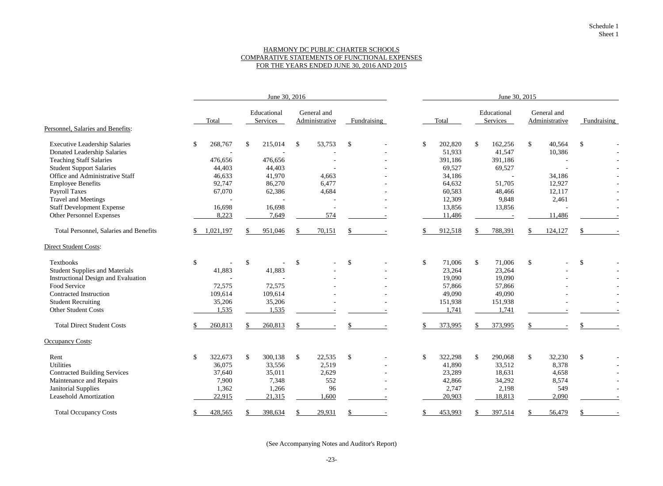### HARMONY DC PUBLIC CHARTER SCHOOLS COMPARATIVE STATEMENTS OF FUNCTIONAL EXPENSES FOR THE YEARS ENDED JUNE 30, 2016 AND 2015

|                                      |                         | June 30, 2016 |                          |               |                               |               |                          |                           | June 30, 2015 |               |                         |               |                               |               |  |
|--------------------------------------|-------------------------|---------------|--------------------------|---------------|-------------------------------|---------------|--------------------------|---------------------------|---------------|---------------|-------------------------|---------------|-------------------------------|---------------|--|
|                                      | Total                   |               | Educational<br>Services  |               | General and<br>Administrative |               | Fundraising              |                           | Total         |               | Educational<br>Services |               | General and<br>Administrative | Fundraising   |  |
| Office Expenses:                     |                         |               |                          |               |                               |               |                          |                           |               |               |                         |               |                               |               |  |
| <b>Office Supplies and Materials</b> | $\mathcal{S}$<br>4,798  | \$            | 4,463                    | $\mathcal{S}$ | 335                           | $\frac{1}{2}$ | $\blacksquare$           | $\boldsymbol{\mathsf{S}}$ | 8,596         | $\mathcal{S}$ | 6,877                   | $\mathcal{S}$ | 1,719                         | $\mathcal{S}$ |  |
| Office Equipment Maintenance         | 2,916                   |               | 2,712                    |               | 204                           |               |                          |                           | 1,722         |               | 1,378                   |               | 344                           |               |  |
| Telephone/Telecommunications         | 3,106                   |               | 2,889                    |               | 217                           |               |                          |                           | 4,344         |               | 3,475                   |               | 869                           |               |  |
| Postage and Shipping                 | 392                     |               | 365                      |               | 27                            |               |                          |                           | 223           |               | 178                     |               | 45                            |               |  |
| <b>Computer Support Fees</b>         | 2,080                   |               | 1,935                    |               | 145                           |               |                          |                           | 563           |               | 450                     |               | 113                           |               |  |
| Printing and Duplication             | 60                      |               | 56                       |               | $\overline{4}$                |               |                          |                           | 69            |               | 55                      |               | 14                            |               |  |
| Dues and Subscription                | 6,341                   |               |                          |               | 6,341                         |               |                          |                           | 3,338         |               |                         |               | 3,338                         |               |  |
| <b>Total Office Expenses</b>         | 19,693                  |               | 12,420                   |               | 7,273                         |               |                          |                           | 18,855        | \$            | 12,413                  |               | 6,442                         |               |  |
| General Expenses:                    |                         |               |                          |               |                               |               |                          |                           |               |               |                         |               |                               |               |  |
| Insurance                            | $\mathcal{S}$<br>16,623 | $\mathbb{S}$  | 15,462                   | $\mathcal{S}$ | 1,161                         | $\mathcal{S}$ | $\overline{\phantom{a}}$ | $\mathcal{S}$             | 16,719        | $\mathcal{S}$ | 16,719                  | $\mathcal{S}$ |                               | $\sqrt{3}$    |  |
| <b>Authorizer Fee</b>                | 20,385                  |               | 18,961                   |               | 1,424                         |               |                          |                           | 18,192        |               | 18,192                  |               |                               |               |  |
| <b>Intellectual Property License</b> | 49,358                  |               |                          |               | 49,358                        |               |                          |                           | 33,175        |               |                         |               | 33,175                        |               |  |
| Accounting, Auditing and Payroll     | 68,808                  |               | $\overline{\phantom{a}}$ |               | 68,808                        |               |                          |                           | 55,609        |               |                         |               | 55,609                        |               |  |
| Legal Fees                           | 275                     |               |                          |               | 275                           |               |                          |                           | 3,477         |               | 2,782                   |               | 695                           |               |  |
| <b>Other Professional Fees</b>       | 950                     |               | $\overline{\phantom{a}}$ |               | 950                           |               |                          |                           | 3,175         |               | 2,541                   |               | 634                           |               |  |
| <b>Other Expenses</b>                | 739                     |               | 739                      |               |                               |               |                          |                           | 2,244         |               | 1,795                   |               | 449                           |               |  |
| Depreciation                         | 59,168                  |               | 55,035                   |               | 4,133                         |               |                          |                           | 37,145        |               | 33,430                  |               | 3,715                         |               |  |
| <b>Interest Expense</b>              | 10,501                  |               |                          |               | 10,501                        |               |                          |                           | 2,965         |               |                         |               | 2,965                         |               |  |
| <b>Total General Expenses</b>        | 226,807                 |               | 90,197                   |               | 136,610                       |               |                          |                           | 172,701       |               | 75,459                  |               | 97,242                        |               |  |
| <b>Total Functional Expenses</b>     | 1,957,075               |               | 1,713,110                |               | 243,965                       |               |                          |                           | 1,932,062     |               | ,647,772                |               | 284,290                       |               |  |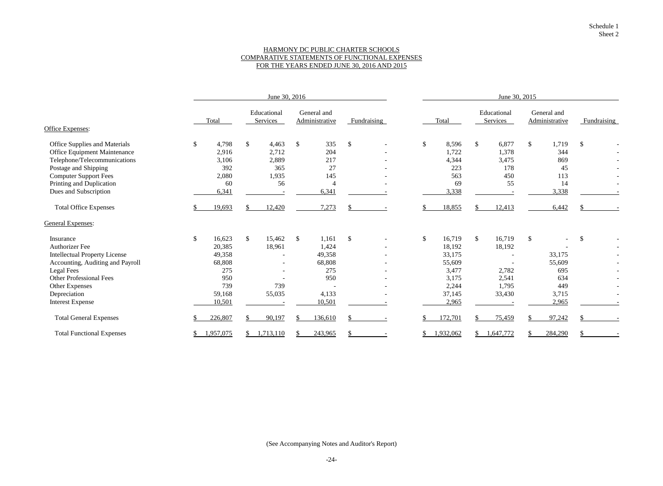### HARMONY DC PUBLIC CHARTER SCHOOLS COMPARATIVE SCHEDULES OF AVERAGE COST PER STUDENT FOR THE YEARS ENDED JUNE 30, 2016 AND 2015

June 30, 2016

|                            |       | <b>Total Cost</b> |   | <b>Average Cost</b><br>Per Student |
|----------------------------|-------|-------------------|---|------------------------------------|
| Instructional              |       | \$<br>1,314,476   | S | 12,639                             |
| <b>Occupancy Cost</b>      |       | 428,565           |   | 4,121                              |
| General and Administrative |       | 214,034           |   | 2,058                              |
| Fundraising                |       |                   |   |                                    |
|                            | Total |                   |   | 18,818                             |

The above is the average per student cost for the year ended June 30, 2016, and is based on a full time equivalent (FTE) enrollment of 104 students.

## June 30, 2015

|                            |       |   | <b>Total Cost</b> | <b>Average Cost</b><br>Per Student |
|----------------------------|-------|---|-------------------|------------------------------------|
| Instructional              |       | S | 1,250,258         | \$<br>18,943                       |
| <b>Occupancy Cost</b>      |       |   | 453,993           | 6,879                              |
| General and Administrative |       |   | 227,811           | 3,452                              |
| Fundraising                |       |   |                   |                                    |
|                            | Total |   | 1.932,062         | 29 274                             |

The above is the average per student cost for the year ended June 30, 2015, and is based on a full time equivalent (FTE) enrollment of 66 students.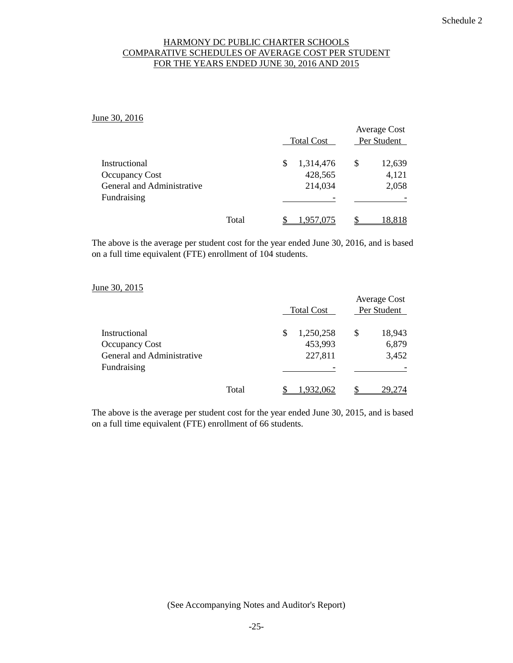Board of Directors Harmony DC Public Charter Schools 62 T Street, NE Washington, DC 20002

### INDEPENDENT AUDITOR'S REPORT ON INTERNAL CONTROL OVER FINANCIAL REPORTING AND ON COMPLIANCE AND OTHER MATTERS BASED ON AN AUDIT OF FINANCIAL STATEMENTS PERFORMED IN ACCORDANCE WITH *GOVERNMENT AUDITING STANDARDS*

We have audited, in accordance with auditing standards generally accepted in the United States of America and the standards applicable to financial audits contained in *Government Auditing Standards*, issued by the Comptroller General of the United States, the financial statements of the Harmony DC Public Charter Schools (a nonprofit organization), which comprise the statement of financial position as of June 30, 2016, and the related statements of activities and cash flows for the year then ended, and the related notes to the financial statements, and have issued our report thereon dated November 30, 2016.

#### *Internal Control Over Financial Reporting*

In planning and performing our audit of the financial statements, we considered the Harmony DC Public Charter Schools' internal control over financial reporting (internal control) to determine the audit procedures that are appropriate in the circumstances for the purpose of expressing our opinion on the financial statements, but not for the purpose of expressing an opinion on the effectiveness of the Harmony DC Public Charter Schools' internal control. Accordingly, we do not express an opinion on the effectiveness of the Organization's internal control.

A *deficiency in internal control* exists when the design or operation of a control does not allow management or employees, in the normal course of performing their assigned functions, to prevent, or detect and correct, misstatements on a timely basis. A *material weakness* is a deficiency, or a combination of deficiencies, in internal control, such that there is a reasonable possibility that a material misstatement of the entity's financial statements will not be prevented, or detected and corrected on a timely basis. A *significant deficiency* is a deficiency, or a combination of deficiencies, in internal control that is less severe than a material weakness, yet important enough to merit attention by those charged with governance.

Our consideration of internal control was for the limited purpose described in the first paragraph of this section and was not designed to identify all deficiencies in internal control that might be material weaknesses or significant deficiencies. Given these limitations, during our audit we did not identify any deficiencies in internal control that we consider to be material weaknesses. However, material weaknesses may exist that have not been identified.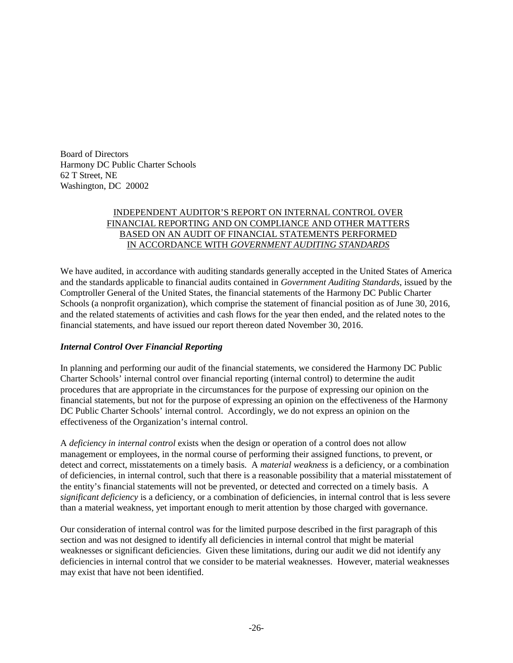## *Compliance and Other Matters*

As part of obtaining reasonable assurance about whether the Harmony DC Public Charter Schools' financial statements are free from material misstatement, we performed tests of its compliance with certain provisions of laws, regulations, contracts and grant agreements, noncompliance with which could have a direct and material effect on the determination of financial statement amounts. However, providing an opinion on compliance with those provisions was not an objective of our audit and accordingly, we do not express such an opinion. The results of our tests disclosed no instances of noncompliance or other matters that are required to be reported under *Government Auditing Standards*.

## *Purpose of this Report*

The purpose of this report is solely to describe the scope of our testing of internal control and compliance and the results of that testing, and not to provide an opinion on the effectiveness of the organization's internal control or on compliance. This report is an integral part of an audit performed in accordance with *Government Auditing Standards* in considering the organization's internal control and compliance. Accordingly, this communication is not suitable for any other purpose.

> Kendall, Prebola and Jones Certified Public Accountants

Bedford, Pennsylvania November 30, 2016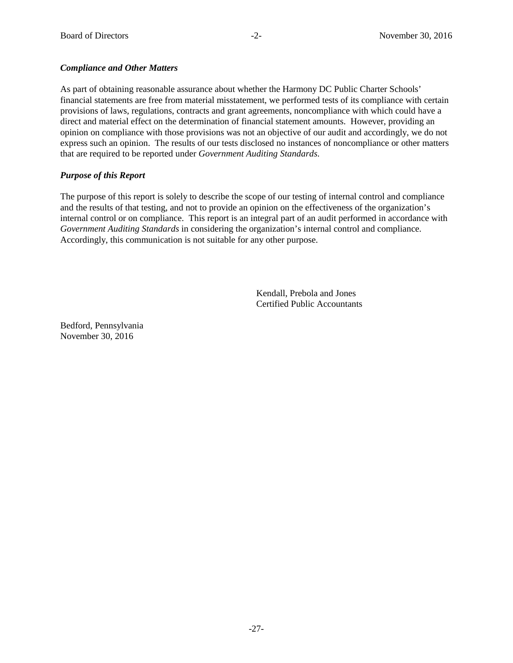## HARMONY DC PUBLIC CHARTER SCHOOLS SUMMARY SCHEDULE OF PRIOR AUDIT FINDINGS FOR THE YEAR ENDED JUNE 30, 2016

# FINDINGS - FINANCIAL STATEMENT AUDIT

There were no audit findings in the prior year.